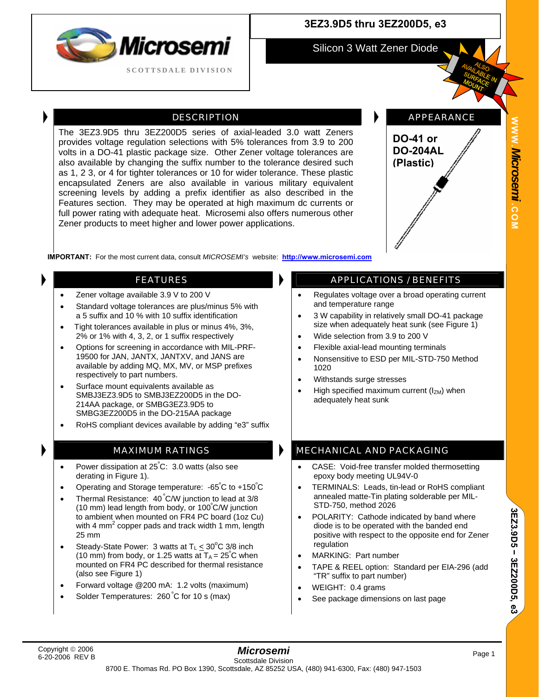

### **3EZ3.9D5 thru 3EZ200D5, e3**

Silicon 3 Watt Zener Diode

DESCRIPTION **APPEARANCE** 

# **WWW.***Microsemi .***COM**

**IMPORTANT:** For the most current data, consult *MICROSEMI's* website: **[http://www.microsemi.com](http://www.microsemi.com/)**

The 3EZ3.9D5 thru 3EZ200D5 series of axial-leaded 3.0 watt Zeners provides voltage regulation selections with 5% tolerances from 3.9 to 200 volts in a DO-41 plastic package size. Other Zener voltage tolerances are also available by changing the suffix number to the tolerance desired such as 1, 2 3, or 4 for tighter tolerances or 10 for wider tolerance. These plastic encapsulated Zeners are also available in various military equivalent screening levels by adding a prefix identifier as also described in the Features section. They may be operated at high maximum dc currents or full power rating with adequate heat. Microsemi also offers numerous other

Zener products to meet higher and lower power applications.

- Zener voltage available 3.9 V to 200 V
- Standard voltage tolerances are plus/minus 5% with a 5 suffix and 10 % with 10 suffix identification
- Tight tolerances available in plus or minus 4%, 3%, 2% or 1% with 4, 3, 2, or 1 suffix respectively
- Options for screening in accordance with MIL-PRF-19500 for JAN, JANTX, JANTXV, and JANS are available by adding MQ, MX, MV, or MSP prefixes respectively to part numbers.
- Surface mount equivalents available as SMBJ3EZ3.9D5 to SMBJ3EZ200D5 in the DO-214AA package, or SMBG3EZ3.9D5 to SMBG3EZ200D5 in the DO-215AA package
- RoHS compliant devices available by adding "e3" suffix

- Power dissipation at 25°C: 3.0 watts (also see derating in Figure 1).
- Operating and Storage temperature: -65°C to +150°C
- Thermal Resistance: 40 ºC/W junction to lead at 3/8 (10 mm) lead length from body, or 100º C/W junction to ambient when mounted on FR4 PC board (1oz Cu) with 4 mm<sup>2</sup> copper pads and track width 1 mm, length 25 mm
- Steady-State Power: 3 watts at  $T_L \leq 30^{\circ}C \cdot 3/8$  inch (10 mm) from body, or 1.25 watts at  $T_A = 25^{\circ}$ C when mounted on FR4 PC described for thermal resistance (also see Figure 1)
- Forward voltage @200 mA: 1.2 volts (maximum)
- Solder Temperatures: 260°C for 10 s (max)

### FEATURES **APPLICATIONS** / BENEFITS

**DO-41 or DO-204AL (Plastic)**

- Regulates voltage over a broad operating current and temperature range
- 3 W capability in relatively small DO-41 package size when adequately heat sunk (see Figure 1)
- Wide selection from 3.9 to 200 V
- Flexible axial-lead mounting terminals
- Nonsensitive to ESD per MIL-STD-750 Method 1020
- Withstands surge stresses
- High specified maximum current  $(I_{ZM})$  when adequately heat sunk

### MAXIMUM RATINGS **MECHANICAL AND PACKAGING**

- CASE: Void-free transfer molded thermosetting epoxy body meeting UL94V-0
- TERMINALS: Leads, tin-lead or RoHS compliant annealed matte-Tin plating solderable per MIL-STD-750, method 2026
- POLARITY: Cathode indicated by band where diode is to be operated with the banded end positive with respect to the opposite end for Zener regulation
- MARKING: Part number
- TAPE & REEL option: Standard per EIA-296 (add "TR" suffix to part number)
- WEIGHT: 0.4 grams
- See package dimensions on last page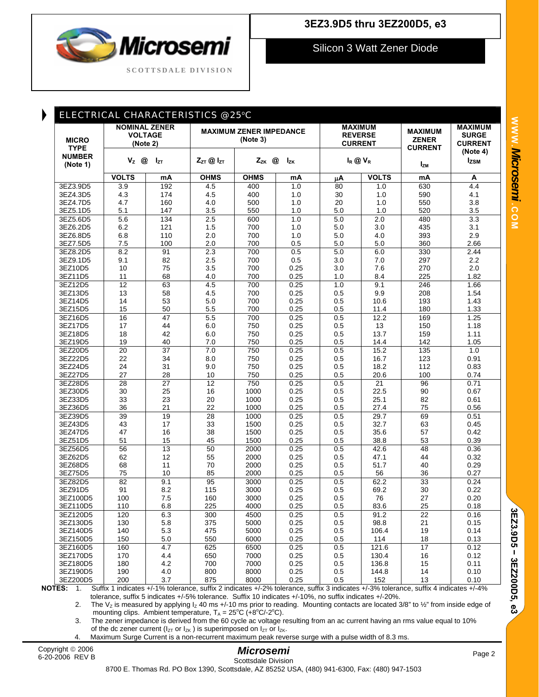# Microsemi **SCOTTSDALE DIVISION**

### **3EZ3.9D5 thru 3EZ200D5, e3**

Silicon 3 Watt Zener Diode

| ELECTRICAL CHARACTERISTICS @ 25°C                        |                                                                           |                       |                                            |                        |              |                                                    |                |                                                  |                                                  |
|----------------------------------------------------------|---------------------------------------------------------------------------|-----------------------|--------------------------------------------|------------------------|--------------|----------------------------------------------------|----------------|--------------------------------------------------|--------------------------------------------------|
| <b>MICRO</b><br><b>TYPE</b><br><b>NUMBER</b><br>(Note 1) | <b>NOMINAL ZENER</b><br><b>VOLTAGE</b><br>(Note 2)<br>$V_z$ @<br>$I_{ZT}$ |                       | <b>MAXIMUM ZENER IMPEDANCE</b><br>(Note 3) |                        |              | <b>MAXIMUM</b><br><b>REVERSE</b><br><b>CURRENT</b> |                | <b>MAXIMUM</b><br><b>ZENER</b><br><b>CURRENT</b> | <b>MAXIMUM</b><br><b>SURGE</b><br><b>CURRENT</b> |
|                                                          |                                                                           |                       | $Z_{ZT}$ @ $I_{ZT}$                        | $Z_{ZK}$ @<br>$I_{ZK}$ |              | $I_R \otimes V_R$                                  |                | $I_{ZM}$                                         | (Note 4)<br><b>Izsm</b>                          |
|                                                          | <b>VOLTS</b>                                                              | mA                    | <b>OHMS</b>                                | <b>OHMS</b>            | mA           | μA                                                 | <b>VOLTS</b>   | mA                                               | A                                                |
| 3EZ3.9D5                                                 | 3.9                                                                       | 192                   | 4.5                                        | 400                    | 1.0          | 80                                                 | 1.0            | 630                                              | 4.4                                              |
| 3EZ4.3D5                                                 | 4.3                                                                       | 174                   | 4.5                                        | 400                    | 1.0          | 30                                                 | 1.0            | 590                                              | 4.1                                              |
| 3EZ4.7D5                                                 | 4.7                                                                       | 160                   | 4.0                                        | 500                    | 1.0          | 20                                                 | 1.0            | 550                                              | 3.8                                              |
| 3EZ5.1D5                                                 | 5.1                                                                       | 147                   | 3.5                                        | 550                    | 1.0          | 5.0                                                | 1.0            | 520                                              | 3.5                                              |
| 3EZ5.6D5                                                 | 5.6                                                                       | 134                   | 2.5                                        | 600                    | 1.0          | 5.0                                                | 2.0            | 480                                              | 3.3                                              |
| 3EZ6.2D5                                                 | 6.2                                                                       | 121                   | 1.5                                        | 700                    | 1.0          | 5.0                                                | 3.0            | 435                                              | 3.1                                              |
| 3EZ6.8D5                                                 | 6.8                                                                       | 110                   | 2.0                                        | 700                    | 1.0          | 5.0                                                | 4.0            | 393                                              | 2.9                                              |
| 3EZ7.5D5                                                 | 7.5                                                                       | 100                   | 2.0                                        | 700                    | 0.5          | 5.0                                                | 5.0            | 360                                              | 2.66                                             |
| 3EZ8.2D5                                                 | 8.2                                                                       | 91                    | 2.3                                        | 700                    | 0.5          | 5.0                                                | 6.0            | 330                                              | 2.44                                             |
| 3EZ9.1D5                                                 | 9.1                                                                       | 82                    | 2.5                                        | 700                    | 0.5          | 3.0                                                | 7.0            | 297                                              | $2.2\,$                                          |
| 3EZ10D5                                                  | 10                                                                        | 75                    | 3.5                                        | 700                    | 0.25         | 3.0                                                | 7.6            | 270                                              | 2.0                                              |
| 3EZ11D5                                                  | 11                                                                        | 68                    | 4.0                                        | 700                    | 0.25         | 1.0                                                | 8.4            | 225                                              | 1.82                                             |
| 3EZ12D5                                                  | 12                                                                        | 63                    | 4.5                                        | 700                    | 0.25         | 1.0                                                | 9.1            | 246                                              | 1.66                                             |
| 3EZ13D5                                                  | 13                                                                        | 58                    | 4.5                                        | 700                    | 0.25         | 0.5                                                | 9.9            | 208                                              | 1.54                                             |
| 3EZ14D5                                                  | 14                                                                        | 53                    | 5.0                                        | 700                    | 0.25         | 0.5                                                | 10.6           | 193                                              | 1.43                                             |
| 3EZ15D5                                                  | 15                                                                        | 50                    | 5.5                                        | 700                    | 0.25         | 0.5                                                | 11.4           | 180                                              | 1.33                                             |
| 3EZ16D5                                                  | $\overline{16}$                                                           | 47                    | 5.5                                        | 700                    | 0.25         | 0.5                                                | 12.2           | 169                                              | 1.25                                             |
| 3EZ17D5                                                  | 17                                                                        | 44                    | 6.0                                        | 750                    | 0.25         | 0.5                                                | 13             | 150                                              | 1.18                                             |
| 3EZ18D5                                                  | 18                                                                        | 42                    | 6.0                                        | 750                    | 0.25         | 0.5                                                | 13.7           | 159                                              | 1.11                                             |
| 3EZ19D5                                                  | 19                                                                        | 40                    | 7.0                                        | 750                    | 0.25         | 0.5                                                | 14.4           | 142                                              | 1.05                                             |
| 3EZ20D5<br>3EZ22D5                                       | $\overline{20}$<br>22                                                     | $\overline{37}$<br>34 | 7.0                                        | 750                    | 0.25         | 0.5                                                | 15.2           | $\overline{135}$                                 | 1.0                                              |
| 3EZ24D5                                                  | 24                                                                        | 31                    | 8.0<br>9.0                                 | 750<br>750             | 0.25<br>0.25 | 0.5<br>0.5                                         | 16.7<br>18.2   | 123<br>112                                       | 0.91<br>0.83                                     |
| 3EZ27D5                                                  | 27                                                                        | 28                    | 10                                         | 750                    | 0.25         | 0.5                                                | 20.6           | 100                                              | 0.74                                             |
| 3EZ28D5                                                  | 28                                                                        | $\overline{27}$       | 12                                         | 750                    | 0.25         | 0.5                                                | 21             | 96                                               | 0.71                                             |
| 3EZ30D5                                                  | 30                                                                        | 25                    | 16                                         | 1000                   | 0.25         | 0.5                                                | 22.5           | 90                                               | 0.67                                             |
| 3EZ33D5                                                  | 33                                                                        | 23                    | 20                                         | 1000                   | 0.25         | 0.5                                                | 25.1           | 82                                               | 0.61                                             |
| 3EZ36D5                                                  | 36                                                                        | 21                    | 22                                         | 1000                   | 0.25         | 0.5                                                | 27.4           | 75                                               | 0.56                                             |
| 3EZ39D5                                                  | 39                                                                        | 19                    | 28                                         | 1000                   | 0.25         | 0.5                                                | 29.7           | 69                                               | 0.51                                             |
| 3EZ43D5                                                  | 43                                                                        | 17                    | 33                                         | 1500                   | 0.25         | 0.5                                                | 32.7           | 63                                               | 0.45                                             |
| 3EZ47D5                                                  | 47                                                                        | 16                    | 38                                         | 1500                   | 0.25         | 0.5                                                | 35.6           | 57                                               | 0.42                                             |
| 3EZ51D5                                                  | 51                                                                        | 15                    | 45                                         | 1500                   | 0.25         | 0.5                                                | 38.8           | 53                                               | 0.39                                             |
| 3EZ56D5                                                  | 56                                                                        | $\overline{13}$       | 50                                         | 2000                   | 0.25         | 0.5                                                | 42.6           | 48                                               | 0.36                                             |
| 3EZ62D5                                                  | 62                                                                        | 12                    | 55                                         | 2000                   | 0.25         | 0.5                                                | 47.1           | 44                                               | 0.32                                             |
| 3EZ68D5                                                  | 68                                                                        | 11                    | 70                                         | 2000                   | 0.25         | 0.5                                                | 51.7           | 40                                               | 0.29                                             |
| 3EZ75D5                                                  | 75                                                                        | 10                    | 85                                         | 2000                   | 0.25         | 0.5                                                | 56             | 36                                               | 0.27                                             |
| 3EZ82D5                                                  | 82                                                                        | 9.1                   | 95                                         | 3000                   | 0.25         | 0.5                                                | 62.2           | 33                                               | 0.24                                             |
| 3EZ91D5                                                  | 91                                                                        | 8.2                   | 115                                        | 3000                   | 0.25         | 0.5                                                | 69.2           | 30                                               | 0.22                                             |
| 3EZ100D5                                                 | 100                                                                       | 7.5                   | 160                                        | 3000                   | 0.25         | 0.5                                                | 76             | 27                                               | 0.20                                             |
| 3EZ110D5                                                 | 110                                                                       | 6.8                   | 225                                        | 4000                   | 0.25         | 0.5                                                | 83.6           | 25                                               | 0.18                                             |
| 3EZ120D5                                                 | 120                                                                       | 6.3                   | 300                                        | 4500                   | 0.25         | 0.5                                                | 91.2           | 22                                               | 0.16                                             |
| 3EZ130D5                                                 | 130                                                                       | 5.8                   | 375                                        | 5000                   | 0.25         | 0.5                                                | 98.8           | 21                                               | 0.15                                             |
| 3EZ140D5                                                 | 140                                                                       | 5.3                   | 475                                        | 5000                   | 0.25         | 0.5                                                | 106.4          | 19                                               | 0.14                                             |
| 3EZ150D5                                                 | 150                                                                       | 5.0                   | 550                                        | 6000                   | 0.25         | 0.5                                                | 114            | 18<br>17                                         | 0.13<br>0.12                                     |
| 3EZ160D5<br>3EZ170D5                                     | 160                                                                       | 4.7<br>4.4            | 625<br>650                                 | 6500<br>7000           | 0.25<br>0.25 | 0.5<br>0.5                                         | 121.6<br>130.4 | 16                                               | 0.12                                             |
| 3EZ180D5                                                 | 170<br>180                                                                | 4.2                   | 700                                        | 7000                   | 0.25         | 0.5                                                | 136.8          | 15                                               | 0.11                                             |
| 3EZ190D5                                                 | 190                                                                       | 4.0                   | 800                                        | 8000                   | 0.25         | 0.5                                                | 144.8          | 14                                               | 0.10                                             |
| 3EZ200D5                                                 | 200                                                                       | 3.7                   | 875                                        | 8000                   | 0.25         | 0.5                                                | 152            | 13                                               | 0.10                                             |
|                                                          |                                                                           |                       |                                            |                        |              |                                                    |                |                                                  |                                                  |

tolerance, suffix 5 indicates +/-5% tolerance. Suffix 10 indicates +/-10%, no suffix indicates +/-20%.<br>2. The V<sub>z</sub> is measured by applying I<sub>z</sub> 40 ms +/-10 ms prior to reading. Mounting contacts are located 3

The V<sub>z</sub> is measured by applying  $I_z$  40 ms +/-10 ms prior to reading. Mounting contacts are located 3/8" to 1/<sub>2</sub>" from inside edge of mounting clips. Ambient temperature,  $T_A = 25^{\circ}C (+8^{\circ}C/-2^{\circ}C)$ .

3. The zener impedance is derived from the 60 cycle ac voltage resulting from an ac current having an rms value equal to 10% of the dc zener current ( $I_{ZT}$  or  $I_{ZK}$ ) is superimposed on  $I_{ZT}$  or  $I_{ZK}$ .

4. Maximum Surge Current is a non-recurrent maximum peak reverse surge with a pulse width of 8.3 ms.

### *Microsemi*  Scottsdale Division

**3EZ3.9D5** 

3EZ3.9D5 - 3EZ200D5, e3

 **3EZ200D5, e3** 

8700 E. Thomas Rd. PO Box 1390, Scottsdale, AZ 85252 USA, (480) 941-6300, Fax: (480) 947-1503

**COM**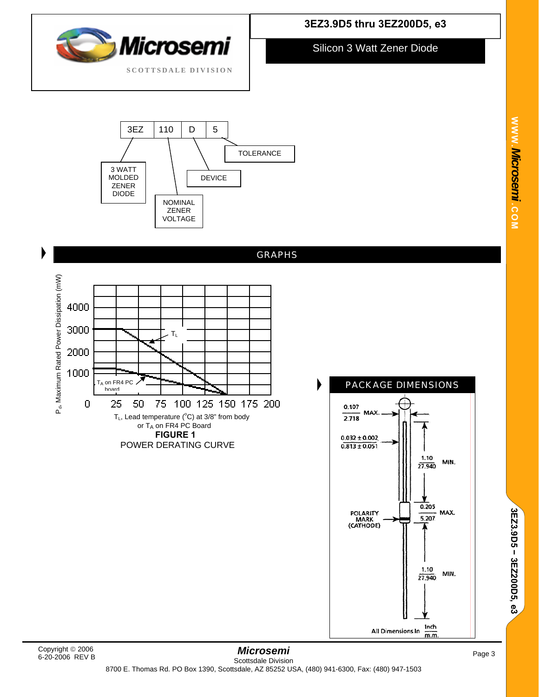



**3EZ3.9D5 thru 3EZ200D5, e3** 

Silicon 3 Watt Zener Diode



6-20-2006 REV B

**3EZ3.9D5** 

3EZ3.9D5 - 3EZ200D5, e3

 **3EZ200D5, e3**